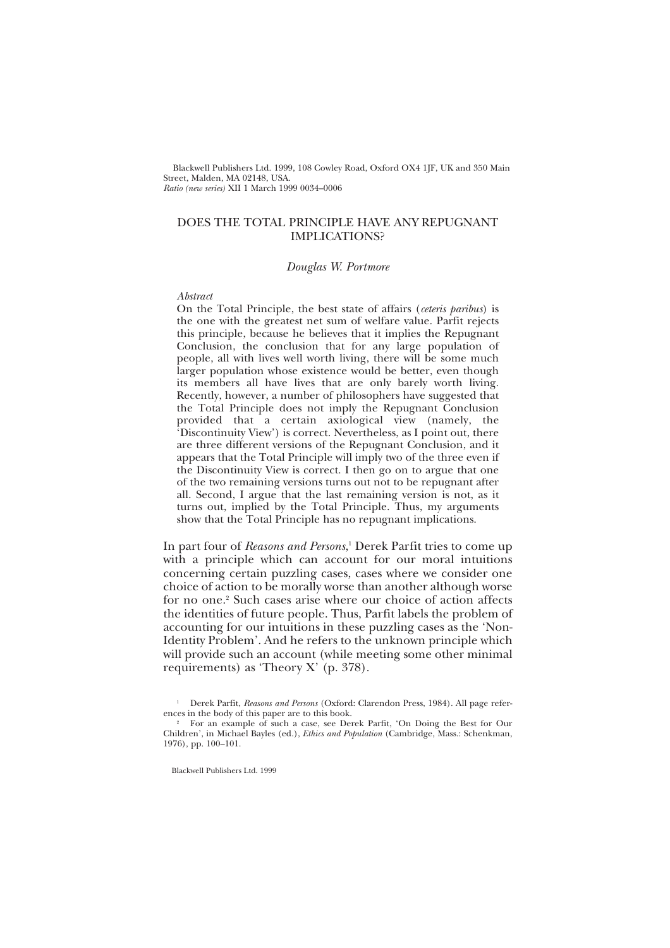Blackwell Publishers Ltd. 1999, 108 Cowley Road, Oxford OX4 1JF, UK and 350 Main Street, Malden, MA 02148, USA. *Ratio (new series)* XII 1 March 1999 0034–0006

# DOES THE TOTAL PRINCIPLE HAVE ANY REPUGNANT IMPLICATIONS?

#### *Douglas W. Portmore*

#### *Abstract*

On the Total Principle, the best state of affairs (*ceteris paribus*) is the one with the greatest net sum of welfare value. Parfit rejects this principle, because he believes that it implies the Repugnant Conclusion, the conclusion that for any large population of people, all with lives well worth living, there will be some much larger population whose existence would be better, even though its members all have lives that are only barely worth living. Recently, however, a number of philosophers have suggested that the Total Principle does not imply the Repugnant Conclusion provided that a certain axiological view (namely, the 'Discontinuity View') is correct. Nevertheless, as I point out, there are three different versions of the Repugnant Conclusion, and it appears that the Total Principle will imply two of the three even if the Discontinuity View is correct. I then go on to argue that one of the two remaining versions turns out not to be repugnant after all. Second, I argue that the last remaining version is not, as it turns out, implied by the Total Principle. Thus, my arguments show that the Total Principle has no repugnant implications.

In part four of *Reasons and Persons*, <sup>1</sup> Derek Parfit tries to come up with a principle which can account for our moral intuitions concerning certain puzzling cases, cases where we consider one choice of action to be morally worse than another although worse for no one.2 Such cases arise where our choice of action affects the identities of future people. Thus, Parfit labels the problem of accounting for our intuitions in these puzzling cases as the 'Non-Identity Problem'. And he refers to the unknown principle which will provide such an account (while meeting some other minimal requirements) as 'Theory X' (p. 378).

<sup>1</sup> Derek Parfit, *Reasons and Persons* (Oxford: Clarendon Press, 1984). All page references in the body of this paper are to this book.

<sup>2</sup> For an example of such a case, see Derek Parfit, 'On Doing the Best for Our Children', in Michael Bayles (ed.), *Ethics and Population* (Cambridge, Mass.: Schenkman, 1976), pp. 100–101.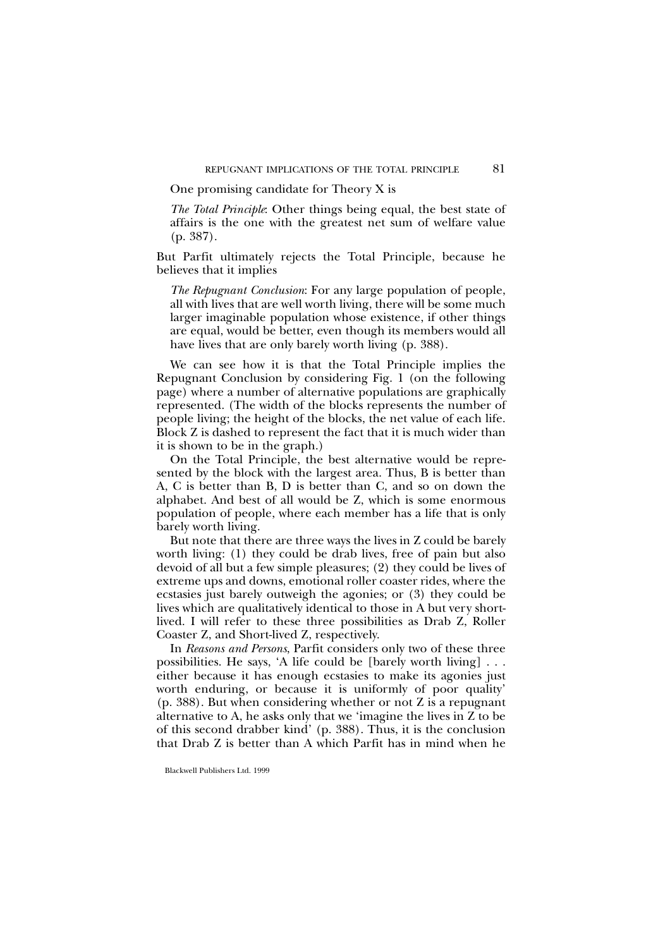One promising candidate for Theory X is

*The Total Principle*: Other things being equal, the best state of affairs is the one with the greatest net sum of welfare value (p. 387).

But Parfit ultimately rejects the Total Principle, because he believes that it implies

*The Repugnant Conclusion*: For any large population of people, all with lives that are well worth living, there will be some much larger imaginable population whose existence, if other things are equal, would be better, even though its members would all have lives that are only barely worth living (p. 388).

We can see how it is that the Total Principle implies the Repugnant Conclusion by considering Fig. 1 (on the following page) where a number of alternative populations are graphically represented. (The width of the blocks represents the number of people living; the height of the blocks, the net value of each life. Block Z is dashed to represent the fact that it is much wider than it is shown to be in the graph.)

On the Total Principle, the best alternative would be represented by the block with the largest area. Thus, B is better than A, C is better than B, D is better than C, and so on down the alphabet. And best of all would be Z, which is some enormous population of people, where each member has a life that is only barely worth living.

But note that there are three ways the lives in Z could be barely worth living: (1) they could be drab lives, free of pain but also devoid of all but a few simple pleasures; (2) they could be lives of extreme ups and downs, emotional roller coaster rides, where the ecstasies just barely outweigh the agonies; or (3) they could be lives which are qualitatively identical to those in A but very shortlived. I will refer to these three possibilities as Drab Z, Roller Coaster Z, and Short-lived Z, respectively.

In *Reasons and Persons*, Parfit considers only two of these three possibilities. He says, 'A life could be [barely worth living] . . . either because it has enough ecstasies to make its agonies just worth enduring, or because it is uniformly of poor quality' (p. 388). But when considering whether or not Z is a repugnant alternative to A, he asks only that we 'imagine the lives in Z to be of this second drabber kind' (p. 388). Thus, it is the conclusion that Drab Z is better than A which Parfit has in mind when he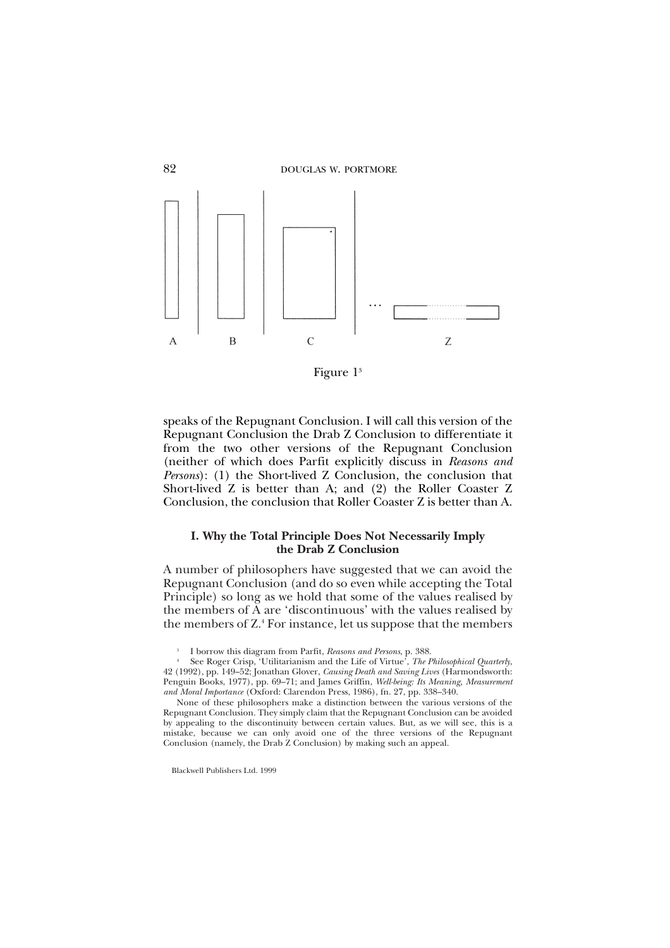

Figure  $1<sup>3</sup>$ 

speaks of the Repugnant Conclusion. I will call this version of the Repugnant Conclusion the Drab Z Conclusion to differentiate it from the two other versions of the Repugnant Conclusion (neither of which does Parfit explicitly discuss in *Reasons and Persons*): (1) the Short-lived Z Conclusion, the conclusion that Short-lived Z is better than A; and (2) the Roller Coaster Z Conclusion, the conclusion that Roller Coaster Z is better than A.

# **I. Why the Total Principle Does Not Necessarily Imply the Drab Z Conclusion**

A number of philosophers have suggested that we can avoid the Repugnant Conclusion (and do so even while accepting the Total Principle) so long as we hold that some of the values realised by the members of A are 'discontinuous' with the values realised by the members of  $Z^4$  For instance, let us suppose that the members

<sup>3</sup> I borrow this diagram from Parfit, *Reasons and Persons*, p. 388.

<sup>4</sup> See Roger Crisp, 'Utilitarianism and the Life of Virtue', *The Philosophical Quarterly*, 42 (1992), pp. 149–52; Jonathan Glover, *Causing Death and Saving Lives* (Harmondsworth: Penguin Books, 1977), pp. 69–71; and James Griffin, *Well-being: Its Meaning, Measurement and Moral Importance* (Oxford: Clarendon Press, 1986), fn. 27, pp. 338–340.

None of these philosophers make a distinction between the various versions of the Repugnant Conclusion. They simply claim that the Repugnant Conclusion can be avoided by appealing to the discontinuity between certain values. But, as we will see, this is a mistake, because we can only avoid one of the three versions of the Repugnant Conclusion (namely, the Drab Z Conclusion) by making such an appeal.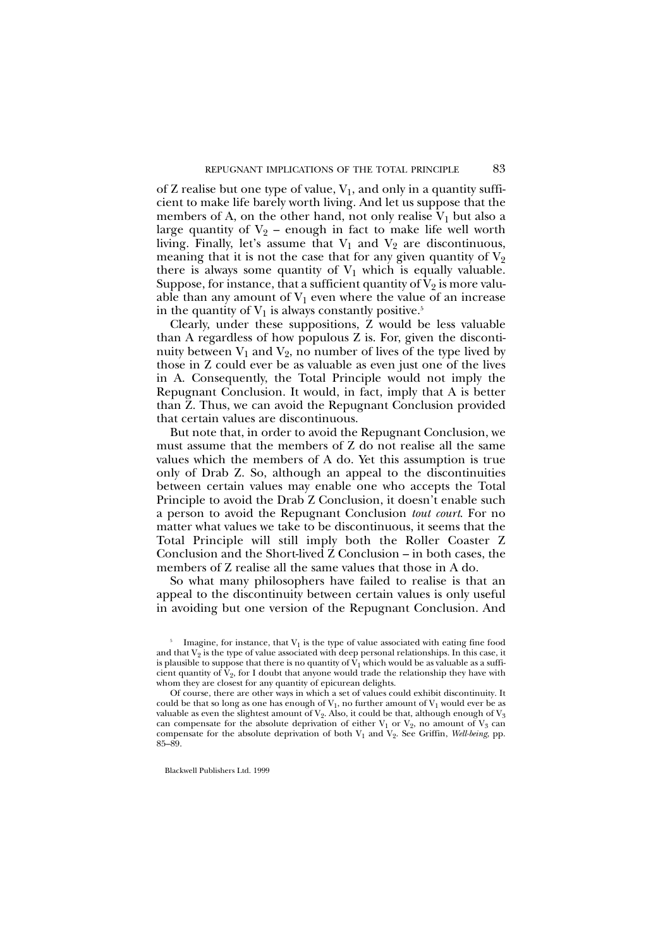of Z realise but one type of value,  $V_1$ , and only in a quantity sufficient to make life barely worth living. And let us suppose that the members of A, on the other hand, not only realise  $V_1$  but also a large quantity of  $V_2$  – enough in fact to make life well worth living. Finally, let's assume that  $V_1$  and  $V_2$  are discontinuous, meaning that it is not the case that for any given quantity of  $V_2$ there is always some quantity of  $V_1$  which is equally valuable. Suppose, for instance, that a sufficient quantity of  $\overline{V}_2$  is more valuable than any amount of  $V_1$  even where the value of an increase in the quantity of  $V_1$  is always constantly positive.<sup>5</sup>

Clearly, under these suppositions, Z would be less valuable than A regardless of how populous Z is. For, given the discontinuity between  $V_1$  and  $V_2$ , no number of lives of the type lived by those in Z could ever be as valuable as even just one of the lives in A. Consequently, the Total Principle would not imply the Repugnant Conclusion. It would, in fact, imply that A is better than Z. Thus, we can avoid the Repugnant Conclusion provided that certain values are discontinuous.

But note that, in order to avoid the Repugnant Conclusion, we must assume that the members of Z do not realise all the same values which the members of A do. Yet this assumption is true only of Drab Z. So, although an appeal to the discontinuities between certain values may enable one who accepts the Total Principle to avoid the Drab Z Conclusion, it doesn't enable such a person to avoid the Repugnant Conclusion *tout court*. For no matter what values we take to be discontinuous, it seems that the Total Principle will still imply both the Roller Coaster Z Conclusion and the Short-lived Z Conclusion – in both cases, the members of Z realise all the same values that those in A do.

So what many philosophers have failed to realise is that an appeal to the discontinuity between certain values is only useful in avoiding but one version of the Repugnant Conclusion. And

Imagine, for instance, that  $V_1$  is the type of value associated with eating fine food and that  $V_2$  is the type of value associated with deep personal relationships. In this case, it is plausible to suppose that there is no quantity of  $V_1$  which would be as valuable as a sufficient quantity of  $V_2$ , for I doubt that anyone would trade the relationship they have with whom they are closest for any quantity of epicurean delights.

Of course, there are other ways in which a set of values could exhibit discontinuity. It could be that so long as one has enough of  $V_1$ , no further amount of  $V_1$  would ever be as valuable as even the slightest amount of  $V_2$ . Also, it could be that, although enough of  $V_3$ can compensate for the absolute deprivation of either  $V_1$  or  $V_2$ , no amount of  $V_3$  can compensate for the absolute deprivation of both  $V_1$  and  $V_2$ . See Griffin, *Well-being*, pp. 85–89.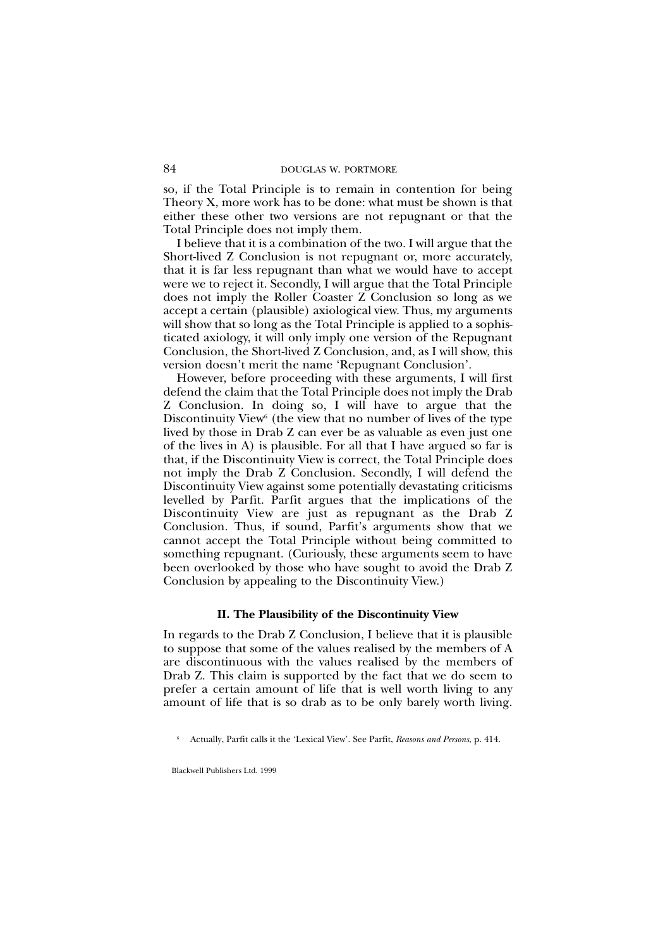so, if the Total Principle is to remain in contention for being Theory X, more work has to be done: what must be shown is that either these other two versions are not repugnant or that the Total Principle does not imply them.

I believe that it is a combination of the two. I will argue that the Short-lived Z Conclusion is not repugnant or, more accurately, that it is far less repugnant than what we would have to accept were we to reject it. Secondly, I will argue that the Total Principle does not imply the Roller Coaster Z Conclusion so long as we accept a certain (plausible) axiological view. Thus, my arguments will show that so long as the Total Principle is applied to a sophisticated axiology, it will only imply one version of the Repugnant Conclusion, the Short-lived Z Conclusion, and, as I will show, this version doesn't merit the name 'Repugnant Conclusion'.

However, before proceeding with these arguments, I will first defend the claim that the Total Principle does not imply the Drab Z Conclusion. In doing so, I will have to argue that the Discontinuity View $<sup>6</sup>$  (the view that no number of lives of the type</sup> lived by those in Drab Z can ever be as valuable as even just one of the lives in A) is plausible. For all that I have argued so far is that, if the Discontinuity View is correct, the Total Principle does not imply the Drab Z Conclusion. Secondly, I will defend the Discontinuity View against some potentially devastating criticisms levelled by Parfit. Parfit argues that the implications of the Discontinuity View are just as repugnant as the Drab Z Conclusion. Thus, if sound, Parfit's arguments show that we cannot accept the Total Principle without being committed to something repugnant. (Curiously, these arguments seem to have been overlooked by those who have sought to avoid the Drab Z Conclusion by appealing to the Discontinuity View.)

#### **II. The Plausibility of the Discontinuity View**

In regards to the Drab Z Conclusion, I believe that it is plausible to suppose that some of the values realised by the members of A are discontinuous with the values realised by the members of Drab Z. This claim is supported by the fact that we do seem to prefer a certain amount of life that is well worth living to any amount of life that is so drab as to be only barely worth living.

<sup>6</sup> Actually, Parfit calls it the 'Lexical View'. See Parfit, *Reasons and Persons*, p. 414.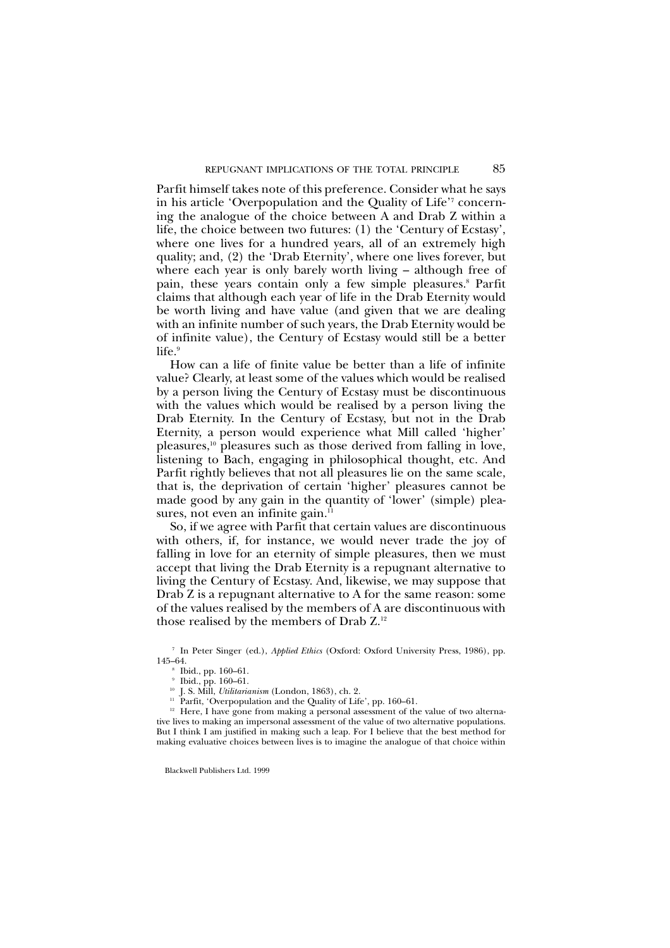Parfit himself takes note of this preference. Consider what he says in his article 'Overpopulation and the Quality of Life'7 concerning the analogue of the choice between A and Drab Z within a life, the choice between two futures: (1) the 'Century of Ecstasy', where one lives for a hundred years, all of an extremely high quality; and, (2) the 'Drab Eternity', where one lives forever, but where each year is only barely worth living – although free of pain, these years contain only a few simple pleasures.<sup>8</sup> Parfit claims that although each year of life in the Drab Eternity would be worth living and have value (and given that we are dealing with an infinite number of such years, the Drab Eternity would be of infinite value), the Century of Ecstasy would still be a better life $9$ 

How can a life of finite value be better than a life of infinite value? Clearly, at least some of the values which would be realised by a person living the Century of Ecstasy must be discontinuous with the values which would be realised by a person living the Drab Eternity. In the Century of Ecstasy, but not in the Drab Eternity, a person would experience what Mill called 'higher' pleasures,10 pleasures such as those derived from falling in love, listening to Bach, engaging in philosophical thought, etc. And Parfit rightly believes that not all pleasures lie on the same scale, that is, the deprivation of certain 'higher' pleasures cannot be made good by any gain in the quantity of 'lower' (simple) pleasures, not even an infinite gain. $\mathbb{I}^1$ 

So, if we agree with Parfit that certain values are discontinuous with others, if, for instance, we would never trade the joy of falling in love for an eternity of simple pleasures, then we must accept that living the Drab Eternity is a repugnant alternative to living the Century of Ecstasy. And, likewise, we may suppose that Drab Z is a repugnant alternative to A for the same reason: some of the values realised by the members of A are discontinuous with those realised by the members of Drab Z.12

<sup>7</sup> In Peter Singer (ed.), *Applied Ethics* (Oxford: Oxford University Press, 1986), pp. 145–64.

<sup>8</sup> Ibid., pp. 160–61.

<sup>9</sup> Ibid., pp. 160–61.

<sup>10</sup> J. S. Mill, *Utilitarianism* (London, 1863), ch. 2.

 $^{\rm n}$  Parfit, 'Overpopulation and the Quality of Life', pp. 160–61.

<sup>12</sup> Here, I have gone from making a personal assessment of the value of two alternative lives to making an impersonal assessment of the value of two alternative populations. But I think I am justified in making such a leap. For I believe that the best method for making evaluative choices between lives is to imagine the analogue of that choice within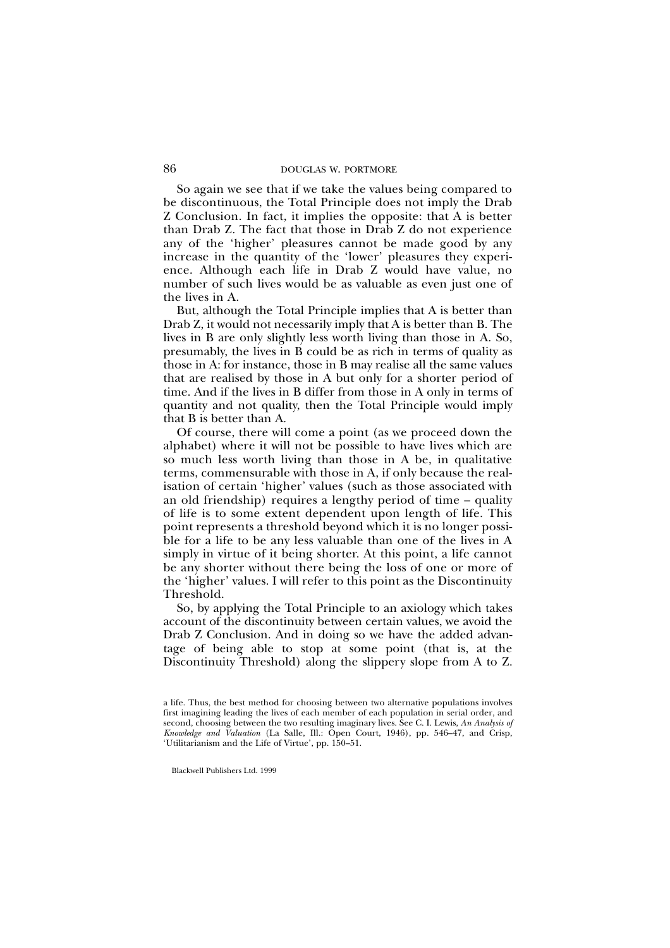So again we see that if we take the values being compared to be discontinuous, the Total Principle does not imply the Drab Z Conclusion. In fact, it implies the opposite: that A is better than Drab Z. The fact that those in Drab Z do not experience any of the 'higher' pleasures cannot be made good by any increase in the quantity of the 'lower' pleasures they experience. Although each life in Drab Z would have value, no number of such lives would be as valuable as even just one of the lives in A.

But, although the Total Principle implies that A is better than Drab Z, it would not necessarily imply that A is better than B. The lives in B are only slightly less worth living than those in A. So, presumably, the lives in B could be as rich in terms of quality as those in A: for instance, those in B may realise all the same values that are realised by those in A but only for a shorter period of time. And if the lives in B differ from those in A only in terms of quantity and not quality, then the Total Principle would imply that B is better than A.

Of course, there will come a point (as we proceed down the alphabet) where it will not be possible to have lives which are so much less worth living than those in A be, in qualitative terms, commensurable with those in A, if only because the realisation of certain 'higher' values (such as those associated with an old friendship) requires a lengthy period of time – quality of life is to some extent dependent upon length of life. This point represents a threshold beyond which it is no longer possible for a life to be any less valuable than one of the lives in A simply in virtue of it being shorter. At this point, a life cannot be any shorter without there being the loss of one or more of the 'higher' values. I will refer to this point as the Discontinuity Threshold.

So, by applying the Total Principle to an axiology which takes account of the discontinuity between certain values, we avoid the Drab Z Conclusion. And in doing so we have the added advantage of being able to stop at some point (that is, at the Discontinuity Threshold) along the slippery slope from A to Z.

a life. Thus, the best method for choosing between two alternative populations involves first imagining leading the lives of each member of each population in serial order, and second, choosing between the two resulting imaginary lives. See C. I. Lewis, *An Analysis of Knowledge and Valuation* (La Salle, Ill.: Open Court, 1946), pp. 546–47, and Crisp, 'Utilitarianism and the Life of Virtue', pp. 150–51.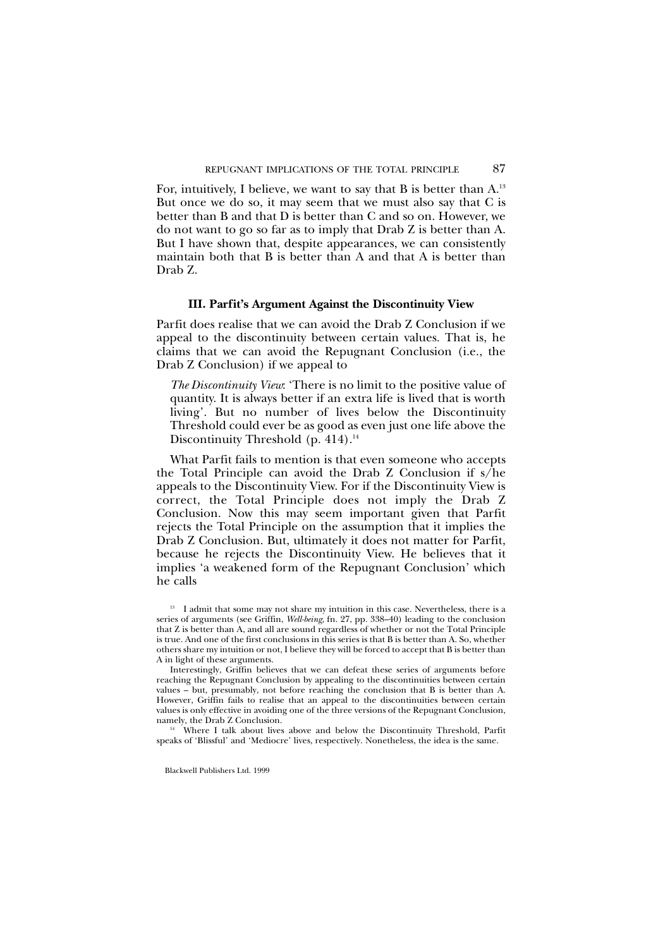For, intuitively, I believe, we want to say that B is better than  $A^{13}$ But once we do so, it may seem that we must also say that C is better than B and that D is better than C and so on. However, we do not want to go so far as to imply that Drab Z is better than A. But I have shown that, despite appearances, we can consistently maintain both that B is better than A and that A is better than Drab Z.

### **III. Parfit's Argument Against the Discontinuity View**

Parfit does realise that we can avoid the Drab Z Conclusion if we appeal to the discontinuity between certain values. That is, he claims that we can avoid the Repugnant Conclusion (i.e., the Drab Z Conclusion) if we appeal to

*The Discontinuity View*: 'There is no limit to the positive value of quantity. It is always better if an extra life is lived that is worth living'. But no number of lives below the Discontinuity Threshold could ever be as good as even just one life above the Discontinuity Threshold  $(p, 414).$ <sup>14</sup>

What Parfit fails to mention is that even someone who accepts the Total Principle can avoid the Drab Z Conclusion if s/he appeals to the Discontinuity View. For if the Discontinuity View is correct, the Total Principle does not imply the Drab Z Conclusion. Now this may seem important given that Parfit rejects the Total Principle on the assumption that it implies the Drab Z Conclusion. But, ultimately it does not matter for Parfit, because he rejects the Discontinuity View. He believes that it implies 'a weakened form of the Repugnant Conclusion' which he calls

 $13$  I admit that some may not share my intuition in this case. Nevertheless, there is a series of arguments (see Griffin, *Well-being*, fn. 27, pp. 338–40) leading to the conclusion that Z is better than A, and all are sound regardless of whether or not the Total Principle is true. And one of the first conclusions in this series is that B is better than A. So, whether others share my intuition or not, I believe they will be forced to accept that B is better than A in light of these arguments.

Interestingly, Griffin believes that we can defeat these series of arguments before reaching the Repugnant Conclusion by appealing to the discontinuities between certain values – but, presumably, not before reaching the conclusion that B is better than A. However, Griffin fails to realise that an appeal to the discontinuities between certain values is only effective in avoiding one of the three versions of the Repugnant Conclusion, namely, the Drab Z Conclusion.

<sup>14</sup> Where I talk about lives above and below the Discontinuity Threshold, Parfit speaks of 'Blissful' and 'Mediocre' lives, respectively. Nonetheless, the idea is the same.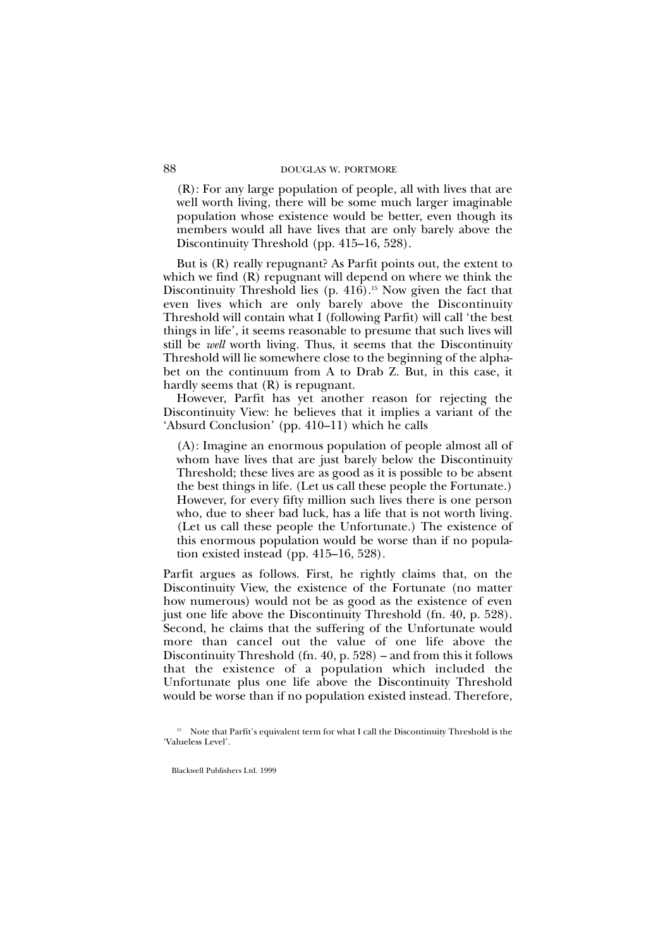(R): For any large population of people, all with lives that are well worth living, there will be some much larger imaginable population whose existence would be better, even though its members would all have lives that are only barely above the Discontinuity Threshold (pp. 415–16, 528).

But is (R) really repugnant? As Parfit points out, the extent to which we find  $(R)$  repugnant will depend on where we think the Discontinuity Threshold lies (p.  $416$ ).<sup>15</sup> Now given the fact that even lives which are only barely above the Discontinuity Threshold will contain what I (following Parfit) will call 'the best things in life', it seems reasonable to presume that such lives will still be *well* worth living. Thus, it seems that the Discontinuity Threshold will lie somewhere close to the beginning of the alphabet on the continuum from A to Drab Z. But, in this case, it hardly seems that (R) is repugnant.

However, Parfit has yet another reason for rejecting the Discontinuity View: he believes that it implies a variant of the 'Absurd Conclusion' (pp. 410–11) which he calls

(A): Imagine an enormous population of people almost all of whom have lives that are just barely below the Discontinuity Threshold; these lives are as good as it is possible to be absent the best things in life. (Let us call these people the Fortunate.) However, for every fifty million such lives there is one person who, due to sheer bad luck, has a life that is not worth living. (Let us call these people the Unfortunate.) The existence of this enormous population would be worse than if no population existed instead (pp. 415–16, 528).

Parfit argues as follows. First, he rightly claims that, on the Discontinuity View, the existence of the Fortunate (no matter how numerous) would not be as good as the existence of even just one life above the Discontinuity Threshold (fn. 40, p. 528). Second, he claims that the suffering of the Unfortunate would more than cancel out the value of one life above the Discontinuity Threshold (fn. 40, p. 528) – and from this it follows that the existence of a population which included the Unfortunate plus one life above the Discontinuity Threshold would be worse than if no population existed instead. Therefore,

<sup>&</sup>lt;sup>15</sup> Note that Parfit's equivalent term for what I call the Discontinuity Threshold is the 'Valueless Level'.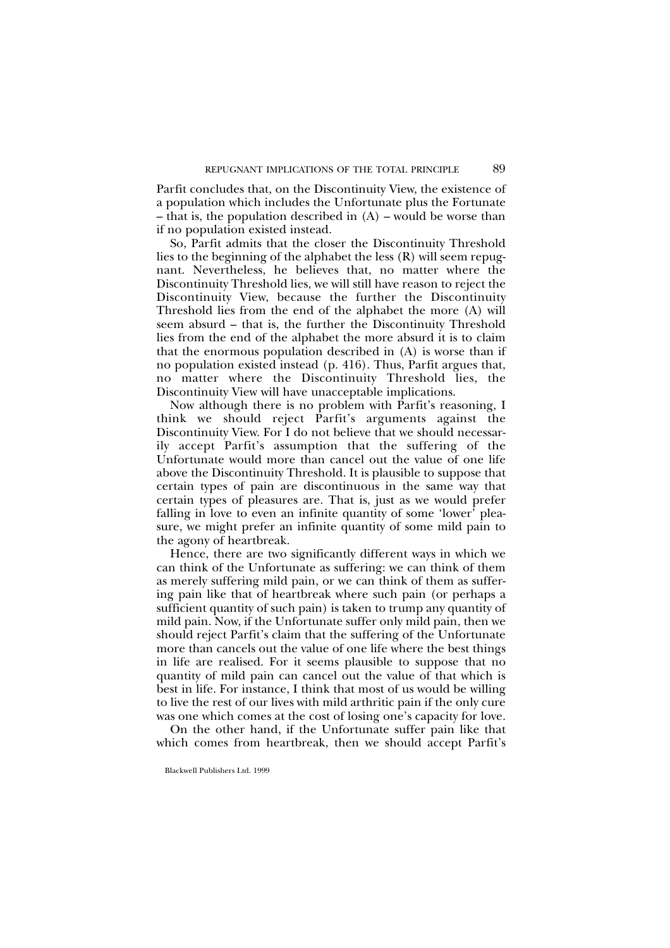Parfit concludes that, on the Discontinuity View, the existence of a population which includes the Unfortunate plus the Fortunate – that is, the population described in (A) – would be worse than if no population existed instead.

So, Parfit admits that the closer the Discontinuity Threshold lies to the beginning of the alphabet the less (R) will seem repugnant. Nevertheless, he believes that, no matter where the Discontinuity Threshold lies, we will still have reason to reject the Discontinuity View, because the further the Discontinuity Threshold lies from the end of the alphabet the more (A) will seem absurd – that is, the further the Discontinuity Threshold lies from the end of the alphabet the more absurd it is to claim that the enormous population described in (A) is worse than if no population existed instead (p. 416). Thus, Parfit argues that, no matter where the Discontinuity Threshold lies, the Discontinuity View will have unacceptable implications.

Now although there is no problem with Parfit's reasoning, I think we should reject Parfit's arguments against the Discontinuity View. For I do not believe that we should necessarily accept Parfit's assumption that the suffering of the Unfortunate would more than cancel out the value of one life above the Discontinuity Threshold. It is plausible to suppose that certain types of pain are discontinuous in the same way that certain types of pleasures are. That is, just as we would prefer falling in love to even an infinite quantity of some 'lower' pleasure, we might prefer an infinite quantity of some mild pain to the agony of heartbreak.

Hence, there are two significantly different ways in which we can think of the Unfortunate as suffering: we can think of them as merely suffering mild pain, or we can think of them as suffering pain like that of heartbreak where such pain (or perhaps a sufficient quantity of such pain) is taken to trump any quantity of mild pain. Now, if the Unfortunate suffer only mild pain, then we should reject Parfit's claim that the suffering of the Unfortunate more than cancels out the value of one life where the best things in life are realised. For it seems plausible to suppose that no quantity of mild pain can cancel out the value of that which is best in life. For instance, I think that most of us would be willing to live the rest of our lives with mild arthritic pain if the only cure was one which comes at the cost of losing one's capacity for love.

On the other hand, if the Unfortunate suffer pain like that which comes from heartbreak, then we should accept Parfit's

Blackwell Publishers Ltd. 1999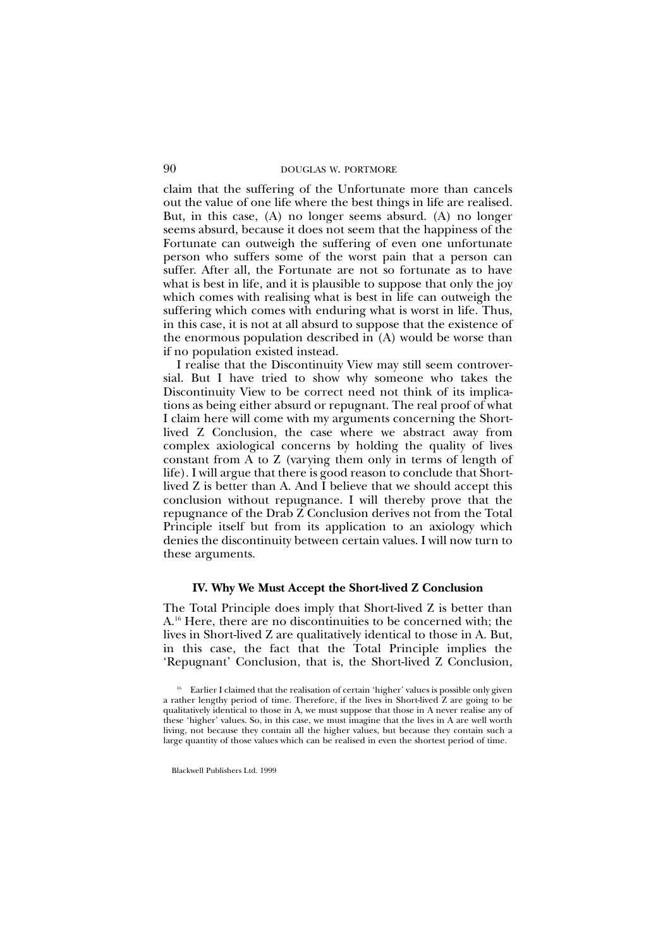claim that the suffering of the Unfortunate more than cancels out the value of one life where the best things in life are realised. But, in this case, (A) no longer seems absurd. (A) no longer seems absurd, because it does not seem that the happiness of the Fortunate can outweigh the suffering of even one unfortunate person who suffers some of the worst pain that a person can suffer. After all, the Fortunate are not so fortunate as to have what is best in life, and it is plausible to suppose that only the joy which comes with realising what is best in life can outweigh the suffering which comes with enduring what is worst in life. Thus, in this case, it is not at all absurd to suppose that the existence of the enormous population described in  $(A)$  would be worse than if no population existed instead.

I realise that the Discontinuity View may still seem controversial. But I have tried to show why someone who takes the Discontinuity View to be correct need not think of its implications as being either absurd or repugnant. The real proof of what I claim here will come with my arguments concerning the Shortlived Z Conclusion, the case where we abstract away from complex axiological concerns by holding the quality of lives constant from  $\tilde{A}$  to Z (varying them only in terms of length of life). I will argue that there is good reason to conclude that Shortlived Z is better than A. And I believe that we should accept this conclusion without repugnance. I will thereby prove that the repugnance of the Drab Z Conclusion derives not from the Total Principle itself but from its application to an axiology which denies the discontinuity between certain values. I will now turn to these arguments.

#### **IV. Why We Must Accept the Short-lived Z Conclusion**

The Total Principle does imply that Short-lived Z is better than A.16 Here, there are no discontinuities to be concerned with; the lives in Short-lived Z are qualitatively identical to those in A. But, in this case, the fact that the Total Principle implies the 'Repugnant' Conclusion, that is, the Short-lived Z Conclusion,

<sup>&</sup>lt;sup>16</sup> Earlier I claimed that the realisation of certain 'higher' values is possible only given a rather lengthy period of time. Therefore, if the lives in Short-lived Z are going to be qualitatively identical to those in A, we must suppose that those in A never realise any of these 'higher' values. So, in this case, we must imagine that the lives in A are well worth living, not because they contain all the higher values, but because they contain such a large quantity of those values which can be realised in even the shortest period of time.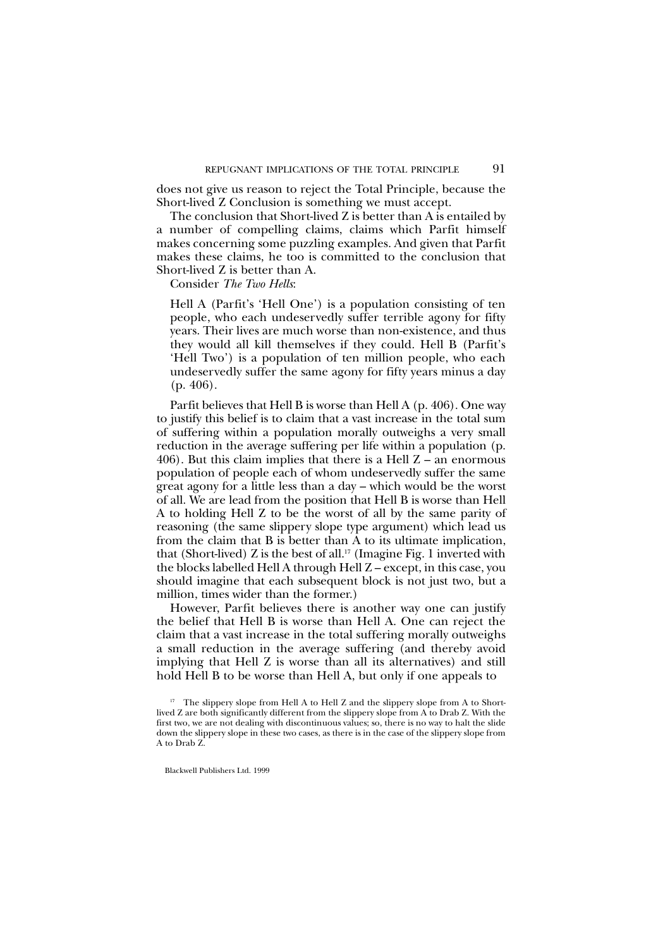does not give us reason to reject the Total Principle, because the Short-lived Z Conclusion is something we must accept.

The conclusion that Short-lived Z is better than A is entailed by a number of compelling claims, claims which Parfit himself makes concerning some puzzling examples. And given that Parfit makes these claims, he too is committed to the conclusion that Short-lived Z is better than A.

Consider *The Two Hells*:

Hell A (Parfit's 'Hell One') is a population consisting of ten people, who each undeservedly suffer terrible agony for fifty years. Their lives are much worse than non-existence, and thus they would all kill themselves if they could. Hell B (Parfit's 'Hell Two') is a population of ten million people, who each undeservedly suffer the same agony for fifty years minus a day (p. 406).

Parfit believes that Hell B is worse than Hell A (p. 406). One way to justify this belief is to claim that a vast increase in the total sum of suffering within a population morally outweighs a very small reduction in the average suffering per life within a population (p. 406). But this claim implies that there is a Hell  $Z$  – an enormous population of people each of whom undeservedly suffer the same great agony for a little less than a day – which would be the worst of all. We are lead from the position that Hell B is worse than Hell A to holding Hell Z to be the worst of all by the same parity of reasoning (the same slippery slope type argument) which lead us from the claim that B is better than A to its ultimate implication, that (Short-lived) Z is the best of all.<sup>17</sup> (Imagine Fig. 1 inverted with the blocks labelled Hell A through Hell Z – except, in this case, you should imagine that each subsequent block is not just two, but a million, times wider than the former.)

However, Parfit believes there is another way one can justify the belief that Hell B is worse than Hell A. One can reject the claim that a vast increase in the total suffering morally outweighs a small reduction in the average suffering (and thereby avoid implying that Hell Z is worse than all its alternatives) and still hold Hell B to be worse than Hell A, but only if one appeals to

<sup>17</sup> The slippery slope from Hell A to Hell Z and the slippery slope from A to Shortlived Z are both significantly different from the slippery slope from A to Drab Z. With the first two, we are not dealing with discontinuous values; so, there is no way to halt the slide down the slippery slope in these two cases, as there is in the case of the slippery slope from A to Drab Z.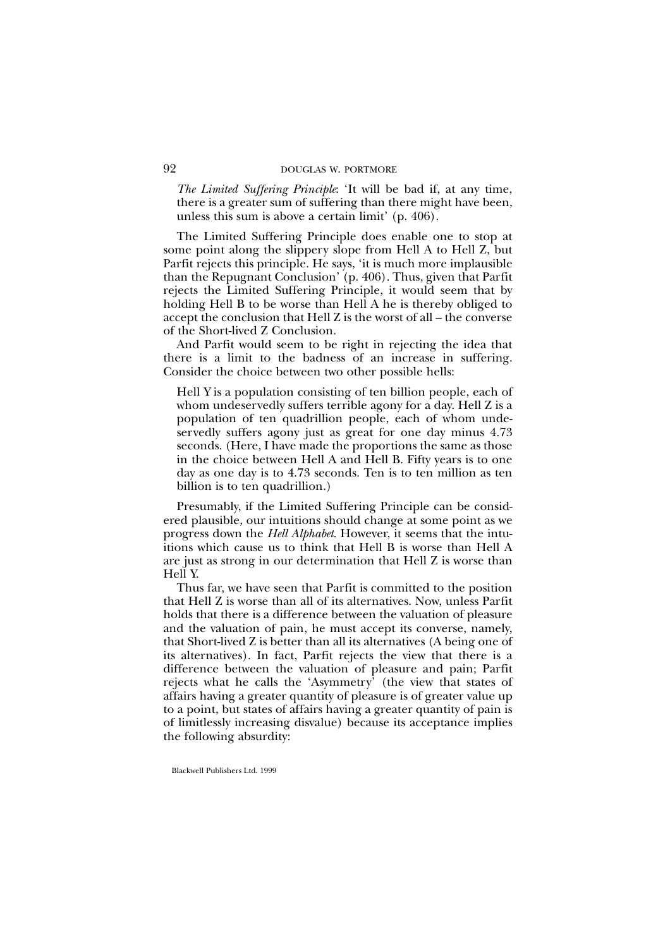*The Limited Suffering Principle*: 'It will be bad if, at any time, there is a greater sum of suffering than there might have been, unless this sum is above a certain limit' (p. 406).

The Limited Suffering Principle does enable one to stop at some point along the slippery slope from Hell A to Hell Z, but Parfit rejects this principle. He says, 'it is much more implausible than the Repugnant Conclusion' (p. 406). Thus, given that Parfit rejects the Limited Suffering Principle, it would seem that by holding Hell B to be worse than Hell A he is thereby obliged to accept the conclusion that Hell Z is the worst of all – the converse of the Short-lived Z Conclusion.

And Parfit would seem to be right in rejecting the idea that there is a limit to the badness of an increase in suffering. Consider the choice between two other possible hells:

Hell Y is a population consisting of ten billion people, each of whom undeservedly suffers terrible agony for a day. Hell Z is a population of ten quadrillion people, each of whom undeservedly suffers agony just as great for one day minus 4.73 seconds. (Here, I have made the proportions the same as those in the choice between Hell A and Hell B. Fifty years is to one day as one day is to 4.73 seconds. Ten is to ten million as ten billion is to ten quadrillion.)

Presumably, if the Limited Suffering Principle can be considered plausible, our intuitions should change at some point as we progress down the *Hell Alphabet*. However, it seems that the intuitions which cause us to think that Hell B is worse than Hell A are just as strong in our determination that Hell Z is worse than Hell Y.

Thus far, we have seen that Parfit is committed to the position that Hell Z is worse than all of its alternatives. Now, unless Parfit holds that there is a difference between the valuation of pleasure and the valuation of pain, he must accept its converse, namely, that Short-lived Z is better than all its alternatives (A being one of its alternatives). In fact, Parfit rejects the view that there is a difference between the valuation of pleasure and pain; Parfit rejects what he calls the 'Asymmetry' (the view that states of affairs having a greater quantity of pleasure is of greater value up to a point, but states of affairs having a greater quantity of pain is of limitlessly increasing disvalue) because its acceptance implies the following absurdity: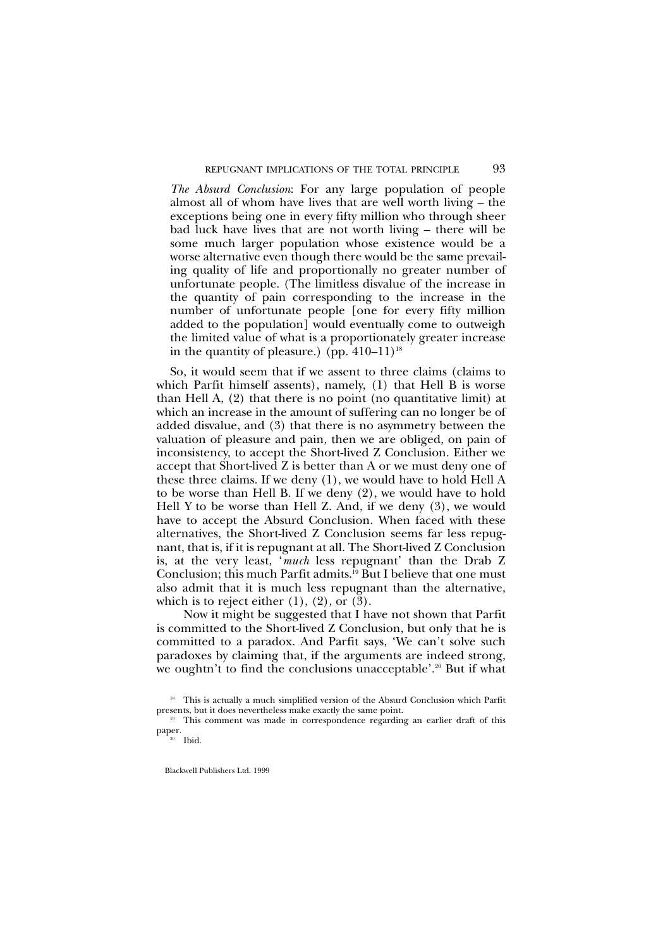*The Absurd Conclusion*: For any large population of people almost all of whom have lives that are well worth living – the exceptions being one in every fifty million who through sheer bad luck have lives that are not worth living – there will be some much larger population whose existence would be a worse alternative even though there would be the same prevailing quality of life and proportionally no greater number of unfortunate people. (The limitless disvalue of the increase in the quantity of pain corresponding to the increase in the number of unfortunate people [one for every fifty million added to the population] would eventually come to outweigh the limited value of what is a proportionately greater increase in the quantity of pleasure.) (pp.  $410-11$ )<sup>18</sup>

So, it would seem that if we assent to three claims (claims to which Parfit himself assents), namely, (1) that Hell B is worse than Hell A, (2) that there is no point (no quantitative limit) at which an increase in the amount of suffering can no longer be of added disvalue, and (3) that there is no asymmetry between the valuation of pleasure and pain, then we are obliged, on pain of inconsistency, to accept the Short-lived Z Conclusion. Either we accept that Short-lived Z is better than A or we must deny one of these three claims. If we deny (1), we would have to hold Hell A to be worse than Hell B. If we deny (2), we would have to hold Hell Y to be worse than Hell Z. And, if we deny (3), we would have to accept the Absurd Conclusion. When faced with these alternatives, the Short-lived Z Conclusion seems far less repugnant, that is, if it is repugnant at all. The Short-lived Z Conclusion is, at the very least, '*much* less repugnant' than the Drab Z Conclusion; this much Parfit admits.<sup>19</sup> But I believe that one must also admit that it is much less repugnant than the alternative, which is to reject either  $(1)$ ,  $(2)$ , or  $(3)$ .

Now it might be suggested that I have not shown that Parfit is committed to the Short-lived Z Conclusion, but only that he is committed to a paradox. And Parfit says, 'We can't solve such paradoxes by claiming that, if the arguments are indeed strong, we oughtn't to find the conclusions unacceptable'.<sup>20</sup> But if what

<sup>&</sup>lt;sup>18</sup> This is actually a much simplified version of the Absurd Conclusion which Parfit presents, but it does nevertheless make exactly the same point.

<sup>&</sup>lt;sup>19</sup> This comment was made in correspondence regarding an earlier draft of this paper.

 $20$  Ibid.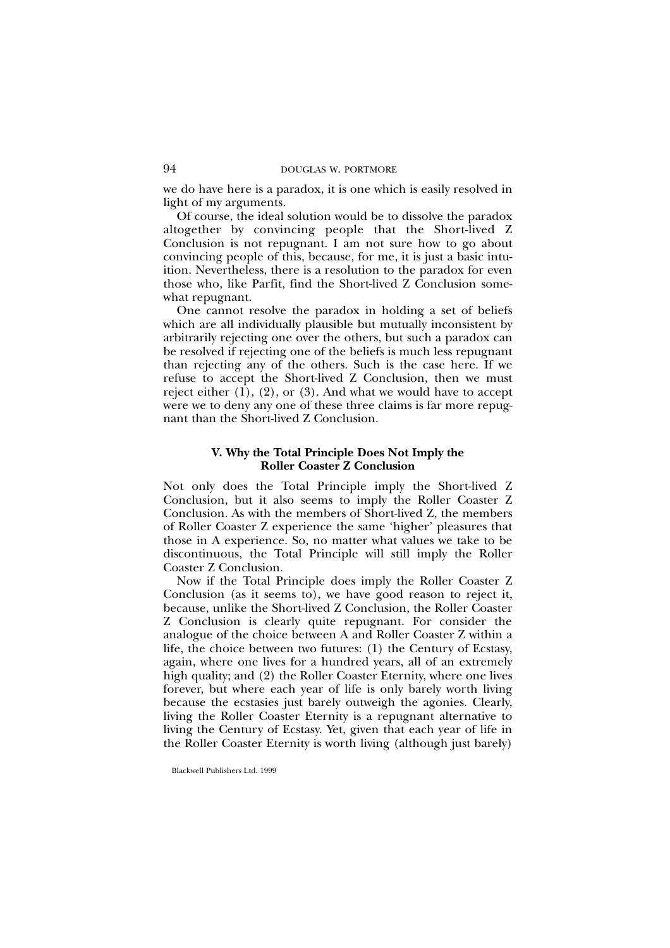we do have here is a paradox, it is one which is easily resolved in light of my arguments.

Of course, the ideal solution would be to dissolve the paradox altogether by convincing people that the Short-lived Z Conclusion is not repugnant. I am not sure how to go about convincing people of this, because, for me, it is just a basic intuition. Nevertheless, there is a resolution to the paradox for even those who, like Parfit, find the Short-lived Z Conclusion somewhat repugnant.

One cannot resolve the paradox in holding a set of beliefs which are all individually plausible but mutually inconsistent by arbitrarily rejecting one over the others, but such a paradox can be resolved if rejecting one of the beliefs is much less repugnant than rejecting any of the others. Such is the case here. If we refuse to accept the Short-lived Z Conclusion, then we must reject either  $(1)$ ,  $(2)$ , or  $(3)$ . And what we would have to accept were we to deny any one of these three claims is far more repugnant than the Short-lived Z Conclusion.

# **V. Why the Total Principle Does Not Imply the Roller Coaster Z Conclusion**

Not only does the Total Principle imply the Short-lived Z Conclusion, but it also seems to imply the Roller Coaster Z Conclusion. As with the members of Short-lived Z, the members of Roller Coaster Z experience the same 'higher' pleasures that those in A experience. So, no matter what values we take to be discontinuous, the Total Principle will still imply the Roller Coaster Z Conclusion.

Now if the Total Principle does imply the Roller Coaster Z Conclusion (as it seems to), we have good reason to reject it, because, unlike the Short-lived Z Conclusion, the Roller Coaster Z Conclusion is clearly quite repugnant. For consider the analogue of the choice between A and Roller Coaster Z within a life, the choice between two futures: (1) the Century of Ecstasy, again, where one lives for a hundred years, all of an extremely high quality; and (2) the Roller Coaster Eternity, where one lives forever, but where each year of life is only barely worth living because the ecstasies just barely outweigh the agonies. Clearly, living the Roller Coaster Eternity is a repugnant alternative to living the Century of Ecstasy. Yet, given that each year of life in the Roller Coaster Eternity is worth living (although just barely)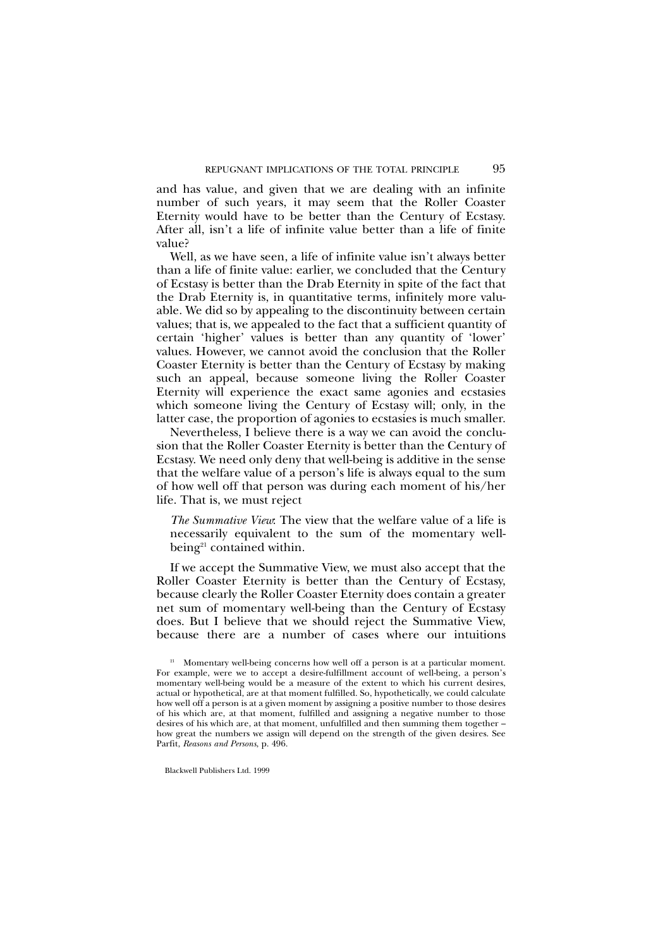and has value, and given that we are dealing with an infinite number of such years, it may seem that the Roller Coaster Eternity would have to be better than the Century of Ecstasy. After all, isn't a life of infinite value better than a life of finite value?

Well, as we have seen, a life of infinite value isn't always better than a life of finite value: earlier, we concluded that the Century of Ecstasy is better than the Drab Eternity in spite of the fact that the Drab Eternity is, in quantitative terms, infinitely more valuable. We did so by appealing to the discontinuity between certain values; that is, we appealed to the fact that a sufficient quantity of certain 'higher' values is better than any quantity of 'lower' values. However, we cannot avoid the conclusion that the Roller Coaster Eternity is better than the Century of Ecstasy by making such an appeal, because someone living the Roller Coaster Eternity will experience the exact same agonies and ecstasies which someone living the Century of Ecstasy will; only, in the latter case, the proportion of agonies to ecstasies is much smaller.

Nevertheless, I believe there is a way we can avoid the conclusion that the Roller Coaster Eternity is better than the Century of Ecstasy. We need only deny that well-being is additive in the sense that the welfare value of a person's life is always equal to the sum of how well off that person was during each moment of his/her life. That is, we must reject

*The Summative View*: The view that the welfare value of a life is necessarily equivalent to the sum of the momentary wellbeing $21$  contained within.

If we accept the Summative View, we must also accept that the Roller Coaster Eternity is better than the Century of Ecstasy, because clearly the Roller Coaster Eternity does contain a greater net sum of momentary well-being than the Century of Ecstasy does. But I believe that we should reject the Summative View, because there are a number of cases where our intuitions

 $21$  Momentary well-being concerns how well off a person is at a particular moment. For example, were we to accept a desire-fulfillment account of well-being, a person's momentary well-being would be a measure of the extent to which his current desires, actual or hypothetical, are at that moment fulfilled. So, hypothetically, we could calculate how well off a person is at a given moment by assigning a positive number to those desires of his which are, at that moment, fulfilled and assigning a negative number to those desires of his which are, at that moment, unfulfilled and then summing them together – how great the numbers we assign will depend on the strength of the given desires. See Parfit, *Reasons and Persons*, p. 496.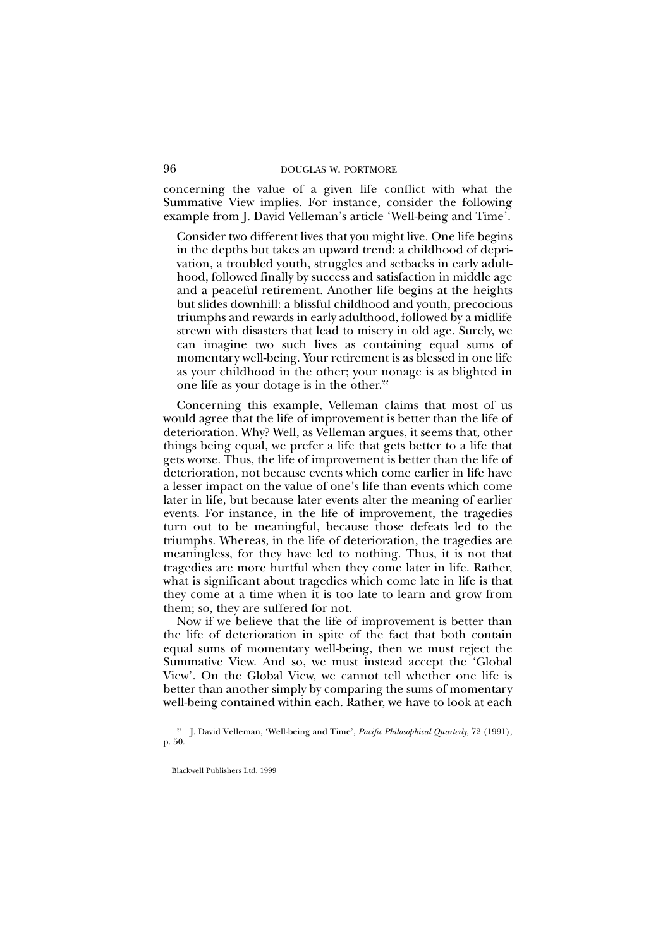concerning the value of a given life conflict with what the Summative View implies. For instance, consider the following example from J. David Velleman's article 'Well-being and Time'.

Consider two different lives that you might live. One life begins in the depths but takes an upward trend: a childhood of deprivation, a troubled youth, struggles and setbacks in early adulthood, followed finally by success and satisfaction in middle age and a peaceful retirement. Another life begins at the heights but slides downhill: a blissful childhood and youth, precocious triumphs and rewards in early adulthood, followed by a midlife strewn with disasters that lead to misery in old age. Surely, we can imagine two such lives as containing equal sums of momentary well-being. Your retirement is as blessed in one life as your childhood in the other; your nonage is as blighted in one life as your dotage is in the other. $22$ 

Concerning this example, Velleman claims that most of us would agree that the life of improvement is better than the life of deterioration. Why? Well, as Velleman argues, it seems that, other things being equal, we prefer a life that gets better to a life that gets worse. Thus, the life of improvement is better than the life of deterioration, not because events which come earlier in life have a lesser impact on the value of one's life than events which come later in life, but because later events alter the meaning of earlier events. For instance, in the life of improvement, the tragedies turn out to be meaningful, because those defeats led to the triumphs. Whereas, in the life of deterioration, the tragedies are meaningless, for they have led to nothing. Thus, it is not that tragedies are more hurtful when they come later in life. Rather, what is significant about tragedies which come late in life is that they come at a time when it is too late to learn and grow from them; so, they are suffered for not.

Now if we believe that the life of improvement is better than the life of deterioration in spite of the fact that both contain equal sums of momentary well-being, then we must reject the Summative View. And so, we must instead accept the 'Global View'. On the Global View, we cannot tell whether one life is better than another simply by comparing the sums of momentary well-being contained within each. Rather, we have to look at each

<sup>&</sup>lt;sup>22</sup> J. David Velleman, 'Well-being and Time', *Pacific Philosophical Quarterly*, 72 (1991), p. 50.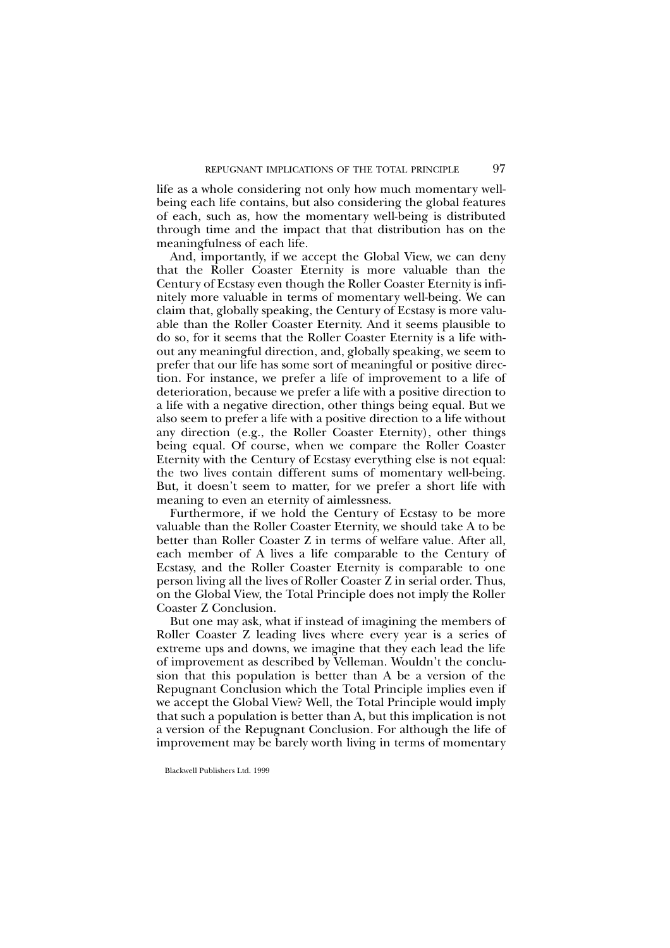life as a whole considering not only how much momentary wellbeing each life contains, but also considering the global features of each, such as, how the momentary well-being is distributed through time and the impact that that distribution has on the meaningfulness of each life.

And, importantly, if we accept the Global View, we can deny that the Roller Coaster Eternity is more valuable than the Century of Ecstasy even though the Roller Coaster Eternity is infinitely more valuable in terms of momentary well-being. We can claim that, globally speaking, the Century of Ecstasy is more valuable than the Roller Coaster Eternity. And it seems plausible to do so, for it seems that the Roller Coaster Eternity is a life without any meaningful direction, and, globally speaking, we seem to prefer that our life has some sort of meaningful or positive direction. For instance, we prefer a life of improvement to a life of deterioration, because we prefer a life with a positive direction to a life with a negative direction, other things being equal. But we also seem to prefer a life with a positive direction to a life without any direction (e.g., the Roller Coaster Eternity), other things being equal. Of course, when we compare the Roller Coaster Eternity with the Century of Ecstasy everything else is not equal: the two lives contain different sums of momentary well-being. But, it doesn't seem to matter, for we prefer a short life with meaning to even an eternity of aimlessness.

Furthermore, if we hold the Century of Ecstasy to be more valuable than the Roller Coaster Eternity, we should take A to be better than Roller Coaster Z in terms of welfare value. After all, each member of A lives a life comparable to the Century of Ecstasy, and the Roller Coaster Eternity is comparable to one person living all the lives of Roller Coaster Z in serial order. Thus, on the Global View, the Total Principle does not imply the Roller Coaster Z Conclusion.

But one may ask, what if instead of imagining the members of Roller Coaster Z leading lives where every year is a series of extreme ups and downs, we imagine that they each lead the life of improvement as described by Velleman. Wouldn't the conclusion that this population is better than A be a version of the Repugnant Conclusion which the Total Principle implies even if we accept the Global View? Well, the Total Principle would imply that such a population is better than A, but this implication is not a version of the Repugnant Conclusion. For although the life of improvement may be barely worth living in terms of momentary

Blackwell Publishers Ltd. 1999